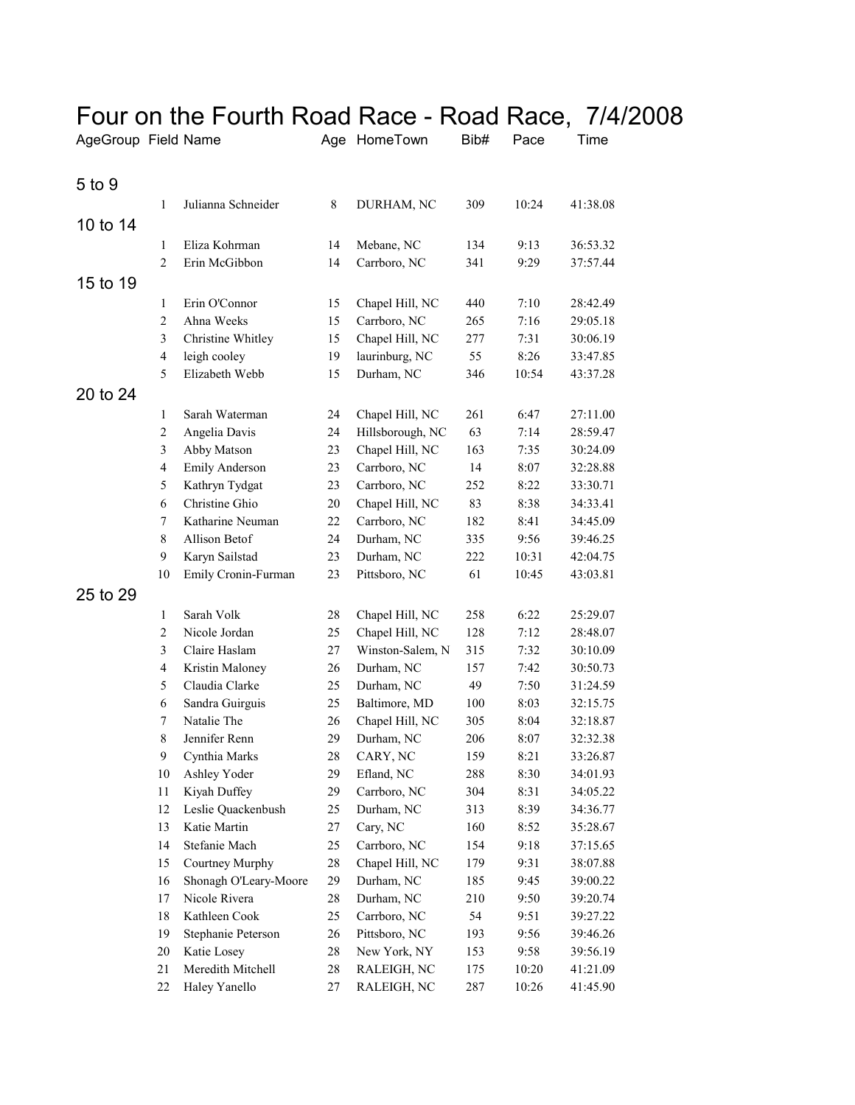| AgeGroup Field Name |                     |                                  |          | Age HomeTown                       | Bib#       | Pace  | Time                 |
|---------------------|---------------------|----------------------------------|----------|------------------------------------|------------|-------|----------------------|
| 5 to 9              |                     |                                  |          |                                    |            |       |                      |
|                     |                     |                                  |          |                                    |            |       |                      |
|                     | $\mathbf{1}$        | Julianna Schneider               | 8        | DURHAM, NC                         | 309        | 10:24 | 41:38.08             |
| 10 to 14            |                     |                                  |          |                                    |            |       |                      |
|                     | 1                   | Eliza Kohrman                    | 14       | Mebane, NC                         | 134        | 9:13  | 36:53.32             |
|                     | $\mathfrak{2}$      | Erin McGibbon                    | 14       | Carrboro, NC                       | 341        | 9:29  | 37:57.44             |
| 15 to 19            |                     |                                  |          |                                    |            |       |                      |
|                     | 1                   | Erin O'Connor                    | 15       | Chapel Hill, NC                    | 440        | 7:10  | 28:42.49             |
|                     | $\overline{2}$      | Ahna Weeks                       | 15       | Carrboro, NC                       | 265        | 7:16  | 29:05.18             |
|                     | 3                   | Christine Whitley                | 15       | Chapel Hill, NC                    | 277        | 7:31  | 30:06.19             |
|                     | $\overline{4}$      | leigh cooley                     | 19       | laurinburg, NC                     | 55         | 8:26  | 33:47.85             |
|                     | 5                   | Elizabeth Webb                   | 15       | Durham, NC                         | 346        | 10:54 | 43:37.28             |
| 20 to 24            |                     |                                  |          |                                    |            |       |                      |
|                     | $\mathbf{1}$        | Sarah Waterman                   | 24       | Chapel Hill, NC                    | 261        | 6:47  | 27:11.00             |
|                     | $\mathfrak{2}$      | Angelia Davis                    | 24       | Hillsborough, NC                   | 63         | 7:14  | 28:59.47             |
|                     | 3                   | Abby Matson                      | 23       | Chapel Hill, NC                    | 163        | 7:35  | 30:24.09             |
|                     | $\overline{4}$      | <b>Emily Anderson</b>            | 23       | Carrboro, NC                       | 14         | 8:07  | 32:28.88             |
|                     | 5                   | Kathryn Tydgat                   | 23       | Carrboro, NC                       | 252        | 8:22  | 33:30.71             |
|                     | 6                   | Christine Ghio                   | 20       | Chapel Hill, NC                    | 83         | 8:38  | 34:33.41             |
|                     | 7                   | Katharine Neuman                 | 22       | Carrboro, NC                       | 182        | 8:41  | 34:45.09             |
|                     | $\,$ 8 $\,$         | Allison Betof                    | 24       | Durham, NC                         | 335        | 9:56  | 39:46.25             |
|                     | 9                   | Karyn Sailstad                   | 23       | Durham, NC                         | 222        | 10:31 | 42:04.75             |
|                     | 10                  | Emily Cronin-Furman              | 23       | Pittsboro, NC                      | 61         | 10:45 | 43:03.81             |
| 25 to 29            |                     |                                  |          |                                    |            |       |                      |
|                     |                     | Sarah Volk                       |          |                                    |            | 6:22  |                      |
|                     | 1<br>$\mathfrak{2}$ | Nicole Jordan                    | 28<br>25 | Chapel Hill, NC<br>Chapel Hill, NC | 258<br>128 | 7:12  | 25:29.07             |
|                     | 3                   |                                  |          | Winston-Salem, N                   | 315        | 7:32  | 28:48.07             |
|                     | $\overline{4}$      | Claire Haslam<br>Kristin Maloney | 27<br>26 | Durham, NC                         | 157        | 7:42  | 30:10.09<br>30:50.73 |
|                     | 5                   | Claudia Clarke                   | 25       | Durham, NC                         | 49         | 7:50  | 31:24.59             |
|                     | 6                   | Sandra Guirguis                  | 25       | Baltimore, MD                      | 100        | 8:03  | 32:15.75             |
|                     | $\tau$              | Natalie The                      | 26       | Chapel Hill, NC                    | 305        | 8:04  | 32:18.87             |
|                     | 8                   | Jennifer Renn                    | 29       | Durham, NC                         | 206        | 8:07  | 32:32.38             |
|                     | 9                   | Cynthia Marks                    | 28       | CARY, NC                           | 159        | 8:21  | 33:26.87             |
|                     | $10\,$              | Ashley Yoder                     | 29       | Efland, NC                         | 288        | 8:30  | 34:01.93             |
|                     | 11                  | Kiyah Duffey                     | 29       | Carrboro, NC                       | 304        | 8:31  | 34:05.22             |
|                     | 12                  | Leslie Quackenbush               | 25       | Durham, NC                         | 313        | 8:39  | 34:36.77             |
|                     | 13                  | Katie Martin                     | 27       | Cary, NC                           | 160        | 8:52  | 35:28.67             |
|                     | 14                  | Stefanie Mach                    | 25       | Carrboro, NC                       | 154        | 9:18  | 37:15.65             |
|                     | 15                  | Courtney Murphy                  | 28       | Chapel Hill, NC                    | 179        | 9:31  | 38:07.88             |
|                     | 16                  | Shonagh O'Leary-Moore            | 29       | Durham, NC                         | 185        | 9:45  | 39:00.22             |
|                     | 17                  | Nicole Rivera                    | 28       | Durham, NC                         | 210        | 9:50  | 39:20.74             |
|                     | 18                  | Kathleen Cook                    | 25       | Carrboro, NC                       | 54         | 9:51  | 39:27.22             |
|                     | 19                  | Stephanie Peterson               | 26       | Pittsboro, NC                      |            | 9:56  | 39:46.26             |
|                     | $20\,$              | Katie Losey                      | 28       | New York, NY                       | 193        | 9:58  | 39:56.19             |
|                     | 21                  | Meredith Mitchell                | 28       | RALEIGH, NC                        | 153<br>175 | 10:20 | 41:21.09             |
|                     | 22                  | Haley Yanello                    | 27       | RALEIGH, NC                        | 287        | 10:26 | 41:45.90             |

## Four on the Fourth Road Race - Road Race, 7/4/2008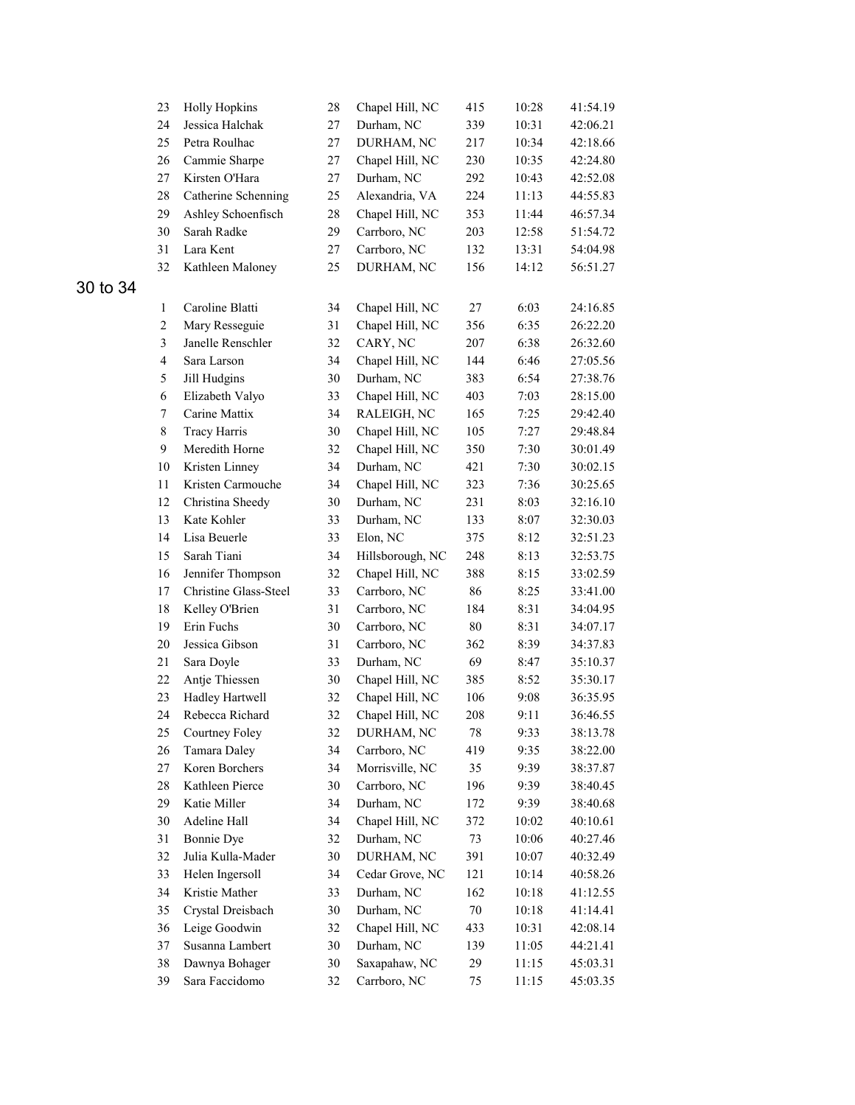|          | 23                      | <b>Holly Hopkins</b>  | 28     | Chapel Hill, NC  | 415    | 10:28 | 41:54.19 |
|----------|-------------------------|-----------------------|--------|------------------|--------|-------|----------|
|          | 24                      | Jessica Halchak       | $27\,$ | Durham, NC       | 339    | 10:31 | 42:06.21 |
|          | 25                      | Petra Roulhac         | $27\,$ | DURHAM, NC       | 217    | 10:34 | 42:18.66 |
|          | 26                      | Cammie Sharpe         | $27\,$ | Chapel Hill, NC  | 230    | 10:35 | 42:24.80 |
|          | 27                      | Kirsten O'Hara        | 27     | Durham, NC       | 292    | 10:43 | 42:52.08 |
|          | 28                      | Catherine Schenning   | 25     | Alexandria, VA   | 224    | 11:13 | 44:55.83 |
|          | 29                      | Ashley Schoenfisch    | 28     | Chapel Hill, NC  | 353    | 11:44 | 46:57.34 |
|          | 30                      | Sarah Radke           | 29     | Carrboro, NC     | 203    | 12:58 | 51:54.72 |
|          | 31                      | Lara Kent             | 27     | Carrboro, NC     | 132    | 13:31 | 54:04.98 |
|          | 32                      | Kathleen Maloney      | 25     | DURHAM, NC       | 156    | 14:12 | 56:51.27 |
| 30 to 34 |                         |                       |        |                  |        |       |          |
|          | $\mathbf{1}$            | Caroline Blatti       | 34     | Chapel Hill, NC  | 27     | 6:03  | 24:16.85 |
|          | $\overline{c}$          | Mary Resseguie        | 31     | Chapel Hill, NC  | 356    | 6:35  | 26:22.20 |
|          | $\overline{\mathbf{3}}$ | Janelle Renschler     | 32     | CARY, NC         | 207    | 6:38  | 26:32.60 |
|          | $\overline{4}$          | Sara Larson           | 34     | Chapel Hill, NC  | 144    | 6:46  | 27:05.56 |
|          | 5                       | Jill Hudgins          | 30     | Durham, NC       | 383    | 6:54  | 27:38.76 |
|          | 6                       | Elizabeth Valyo       | 33     | Chapel Hill, NC  | 403    | 7:03  | 28:15.00 |
|          | $\tau$                  | Carine Mattix         | 34     | RALEIGH, NC      | 165    | 7:25  | 29:42.40 |
|          | $\,$ $\,$               | <b>Tracy Harris</b>   | 30     | Chapel Hill, NC  | 105    | 7:27  | 29:48.84 |
|          | 9                       | Meredith Horne        | 32     | Chapel Hill, NC  | 350    | 7:30  | 30:01.49 |
|          | 10                      | Kristen Linney        | 34     | Durham, NC       | 421    | 7:30  | 30:02.15 |
|          | 11                      | Kristen Carmouche     | 34     | Chapel Hill, NC  | 323    | 7:36  | 30:25.65 |
|          | 12                      | Christina Sheedy      | 30     | Durham, NC       | 231    | 8:03  | 32:16.10 |
|          | 13                      | Kate Kohler           | 33     | Durham, NC       | 133    | 8:07  | 32:30.03 |
|          | 14                      | Lisa Beuerle          | 33     | Elon, NC         | 375    | 8:12  | 32:51.23 |
|          | 15                      | Sarah Tiani           | 34     | Hillsborough, NC | 248    | 8:13  | 32:53.75 |
|          | 16                      | Jennifer Thompson     | 32     | Chapel Hill, NC  | 388    | 8:15  | 33:02.59 |
|          | 17                      | Christine Glass-Steel | 33     | Carrboro, NC     | 86     | 8:25  | 33:41.00 |
|          | 18                      | Kelley O'Brien        | 31     | Carrboro, NC     | 184    | 8:31  | 34:04.95 |
|          | 19                      | Erin Fuchs            | 30     | Carrboro, NC     | $80\,$ | 8:31  | 34:07.17 |
|          | 20                      | Jessica Gibson        | 31     | Carrboro, NC     | 362    | 8:39  | 34:37.83 |
|          | 21                      | Sara Doyle            | 33     | Durham, NC       | 69     | 8:47  | 35:10.37 |
|          | 22                      | Antje Thiessen        | 30     | Chapel Hill, NC  | 385    | 8:52  | 35:30.17 |
|          | 23                      | Hadley Hartwell       | 32     | Chapel Hill, NC  | 106    | 9:08  | 36:35.95 |
|          | 24                      | Rebecca Richard       | 32     | Chapel Hill, NC  | 208    | 9:11  | 36:46.55 |
|          | 25                      | Courtney Foley        | 32     | DURHAM, NC       | 78     | 9:33  | 38:13.78 |
|          | 26                      | Tamara Daley          | 34     | Carrboro, NC     | 419    | 9:35  | 38:22.00 |
|          | 27                      | Koren Borchers        | 34     | Morrisville, NC  | 35     | 9:39  | 38:37.87 |
|          | 28                      | Kathleen Pierce       | $30\,$ | Carrboro, NC     | 196    | 9:39  | 38:40.45 |
|          | 29                      | Katie Miller          | 34     | Durham, NC       | 172    | 9:39  | 38:40.68 |
|          | 30                      | Adeline Hall          | 34     | Chapel Hill, NC  | 372    | 10:02 | 40:10.61 |
|          | 31                      | Bonnie Dye            | 32     | Durham, NC       | 73     | 10:06 | 40:27.46 |
|          | 32                      | Julia Kulla-Mader     | 30     | DURHAM, NC       | 391    | 10:07 | 40:32.49 |
|          | 33                      | Helen Ingersoll       | 34     | Cedar Grove, NC  | 121    | 10:14 | 40:58.26 |
|          | 34                      | Kristie Mather        | 33     | Durham, NC       | 162    | 10:18 | 41:12.55 |
|          | 35                      | Crystal Dreisbach     | 30     | Durham, NC       | $70\,$ | 10:18 | 41:14.41 |
|          | 36                      | Leige Goodwin         | 32     | Chapel Hill, NC  | 433    | 10:31 | 42:08.14 |
|          | 37                      | Susanna Lambert       | $30\,$ | Durham, NC       | 139    | 11:05 | 44:21.41 |
|          | 38                      | Dawnya Bohager        | $30\,$ | Saxapahaw, NC    | 29     | 11:15 | 45:03.31 |
|          | 39                      | Sara Faccidomo        | 32     | Carrboro, NC     | 75     | 11:15 | 45:03.35 |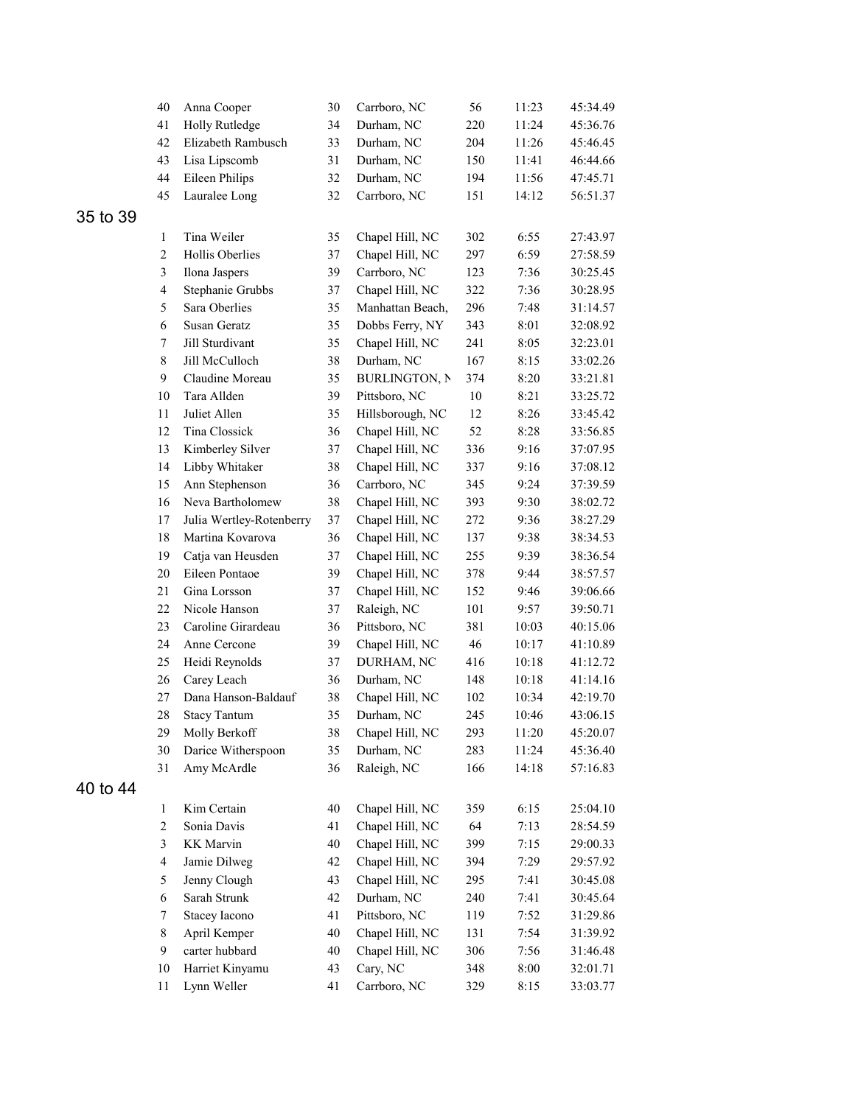|          | 40               | Anna Cooper              | 30     | Carrboro, NC         | 56  | 11:23 | 45:34.49 |
|----------|------------------|--------------------------|--------|----------------------|-----|-------|----------|
|          | 41               | Holly Rutledge           | 34     | Durham, NC           | 220 | 11:24 | 45:36.76 |
|          | 42               | Elizabeth Rambusch       | 33     | Durham, NC           | 204 | 11:26 | 45:46.45 |
|          | 43               | Lisa Lipscomb            | 31     | Durham, NC           | 150 | 11:41 | 46:44.66 |
|          | 44               | Eileen Philips           | 32     | Durham, NC           | 194 | 11:56 | 47:45.71 |
|          | 45               | Lauralee Long            | 32     | Carrboro, NC         | 151 | 14:12 | 56:51.37 |
| 35 to 39 |                  |                          |        |                      |     |       |          |
|          | $\mathbf{1}$     | Tina Weiler              | 35     | Chapel Hill, NC      | 302 | 6:55  | 27:43.97 |
|          | $\overline{2}$   | Hollis Oberlies          | 37     | Chapel Hill, NC      | 297 | 6:59  | 27:58.59 |
|          | 3                | Ilona Jaspers            | 39     | Carrboro, NC         | 123 | 7:36  | 30:25.45 |
|          | $\overline{4}$   | Stephanie Grubbs         | 37     | Chapel Hill, NC      | 322 | 7:36  | 30:28.95 |
|          | 5                | Sara Oberlies            | 35     | Manhattan Beach,     | 296 | 7:48  | 31:14.57 |
|          | 6                | Susan Geratz             | 35     | Dobbs Ferry, NY      | 343 | 8:01  | 32:08.92 |
|          | $\boldsymbol{7}$ | Jill Sturdivant          | 35     | Chapel Hill, NC      | 241 | 8:05  | 32:23.01 |
|          | $\,$ 8 $\,$      | Jill McCulloch           | 38     | Durham, NC           | 167 | 8:15  | 33:02.26 |
|          | 9                | Claudine Moreau          | 35     | <b>BURLINGTON, N</b> | 374 | 8:20  | 33:21.81 |
|          | 10               | Tara Allden              | 39     | Pittsboro, NC        | 10  | 8:21  | 33:25.72 |
|          | 11               | Juliet Allen             | 35     | Hillsborough, NC     | 12  | 8:26  | 33:45.42 |
|          | 12               | Tina Clossick            | 36     | Chapel Hill, NC      | 52  | 8:28  | 33:56.85 |
|          | 13               | Kimberley Silver         | 37     | Chapel Hill, NC      | 336 | 9:16  | 37:07.95 |
|          | 14               | Libby Whitaker           | 38     | Chapel Hill, NC      | 337 | 9:16  | 37:08.12 |
|          | 15               | Ann Stephenson           | 36     | Carrboro, NC         | 345 | 9:24  | 37:39.59 |
|          | 16               | Neva Bartholomew         | 38     | Chapel Hill, NC      | 393 | 9:30  | 38:02.72 |
|          | 17               | Julia Wertley-Rotenberry | 37     | Chapel Hill, NC      | 272 | 9:36  | 38:27.29 |
|          | 18               | Martina Kovarova         | 36     | Chapel Hill, NC      | 137 | 9:38  | 38:34.53 |
|          | 19               | Catja van Heusden        | 37     | Chapel Hill, NC      | 255 | 9:39  | 38:36.54 |
|          | $20\,$           | Eileen Pontaoe           | 39     | Chapel Hill, NC      | 378 | 9:44  | 38:57.57 |
|          | 21               | Gina Lorsson             | 37     | Chapel Hill, NC      | 152 | 9:46  | 39:06.66 |
|          | 22               | Nicole Hanson            | 37     | Raleigh, NC          | 101 | 9:57  | 39:50.71 |
|          | 23               | Caroline Girardeau       | 36     | Pittsboro, NC        | 381 | 10:03 | 40:15.06 |
|          | 24               | Anne Cercone             | 39     | Chapel Hill, NC      | 46  | 10:17 | 41:10.89 |
|          | 25               | Heidi Reynolds           | 37     | DURHAM, NC           | 416 | 10:18 | 41:12.72 |
|          | 26               | Carey Leach              | 36     | Durham, NC           | 148 | 10:18 | 41:14.16 |
|          | $27\,$           | Dana Hanson-Baldauf      | 38     | Chapel Hill, NC      | 102 | 10:34 | 42:19.70 |
|          | 28               | <b>Stacy Tantum</b>      | 35     | Durham, NC           | 245 | 10:46 | 43:06.15 |
|          | 29               | Molly Berkoff            | 38     | Chapel Hill, NC      | 293 | 11:20 | 45:20.07 |
|          | 30               | Darice Witherspoon       | 35     | Durham, NC           | 283 | 11:24 | 45:36.40 |
|          | 31               | Amy McArdle              | 36     | Raleigh, NC          | 166 | 14:18 | 57:16.83 |
| 40 to 44 |                  |                          |        |                      |     |       |          |
|          | $\mathbf{1}$     | Kim Certain              | $40\,$ | Chapel Hill, NC      | 359 | 6:15  | 25:04.10 |
|          | $\overline{c}$   | Sonia Davis              | 41     | Chapel Hill, NC      | 64  | 7:13  | 28:54.59 |
|          | $\mathfrak{Z}$   | <b>KK</b> Marvin         | $40\,$ | Chapel Hill, NC      | 399 | 7:15  | 29:00.33 |
|          | $\overline{4}$   | Jamie Dilweg             | 42     | Chapel Hill, NC      | 394 | 7:29  | 29:57.92 |
|          | 5                | Jenny Clough             | 43     | Chapel Hill, NC      | 295 | 7:41  | 30:45.08 |
|          | 6                | Sarah Strunk             | 42     | Durham, NC           | 240 | 7:41  | 30:45.64 |
|          | $\tau$           | Stacey Iacono            | 41     | Pittsboro, NC        | 119 | 7:52  | 31:29.86 |
|          | $8\,$            | April Kemper             | $40\,$ | Chapel Hill, NC      | 131 | 7:54  | 31:39.92 |
|          | 9                | carter hubbard           | $40\,$ | Chapel Hill, NC      | 306 | 7:56  | 31:46.48 |
|          | 10               | Harriet Kinyamu          | 43     | Cary, NC             | 348 | 8:00  | 32:01.71 |
|          | 11               | Lynn Weller              | 41     | Carrboro, NC         | 329 | 8:15  | 33:03.77 |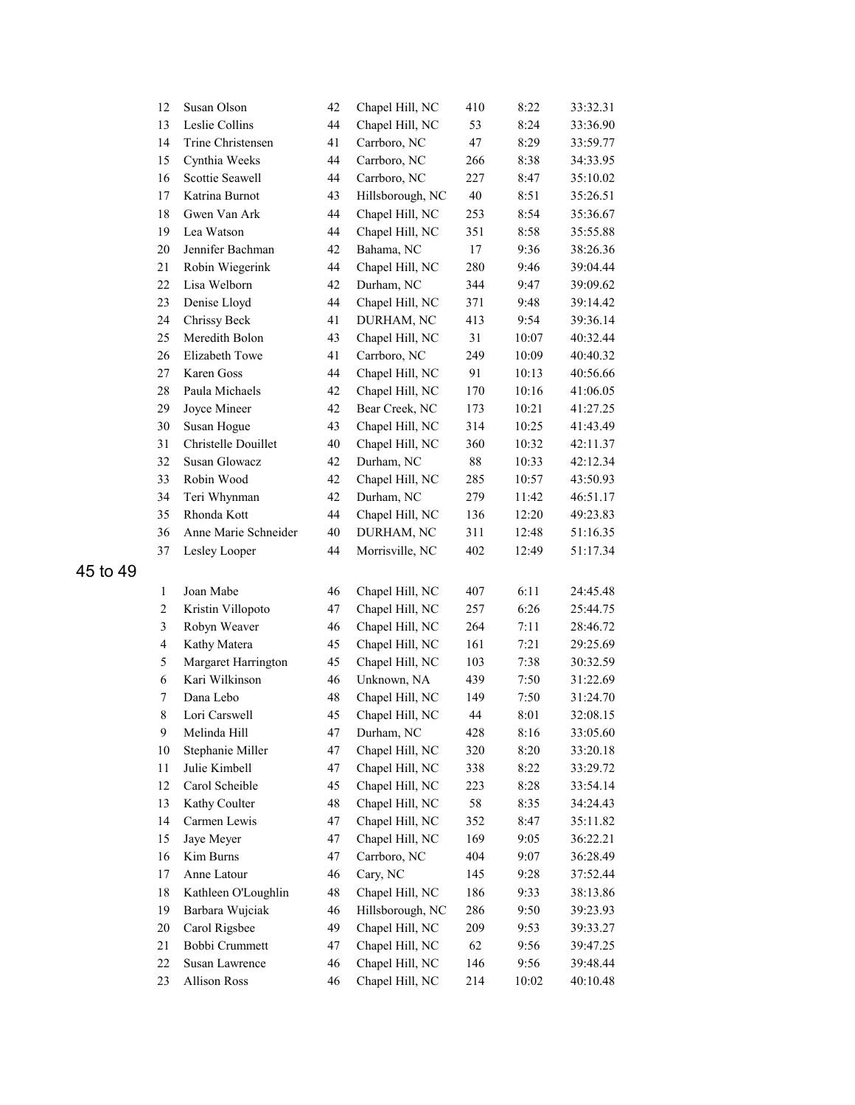| 12                      | Susan Olson          | 42 | Chapel Hill, NC  | 410 | 8:22  | 33:32.31 |
|-------------------------|----------------------|----|------------------|-----|-------|----------|
| 13                      | Leslie Collins       | 44 | Chapel Hill, NC  | 53  | 8:24  | 33:36.90 |
| 14                      | Trine Christensen    | 41 | Carrboro, NC     | 47  | 8:29  | 33:59.77 |
| 15                      | Cynthia Weeks        | 44 | Carrboro, NC     | 266 | 8:38  | 34:33.95 |
| 16                      | Scottie Seawell      | 44 | Carrboro, NC     | 227 | 8:47  | 35:10.02 |
| 17                      | Katrina Burnot       | 43 | Hillsborough, NC | 40  | 8:51  | 35:26.51 |
| 18                      | Gwen Van Ark         | 44 | Chapel Hill, NC  | 253 | 8:54  | 35:36.67 |
| 19                      | Lea Watson           | 44 | Chapel Hill, NC  | 351 | 8:58  | 35:55.88 |
| 20                      | Jennifer Bachman     | 42 | Bahama, NC       | 17  | 9:36  | 38:26.36 |
| 21                      | Robin Wiegerink      | 44 | Chapel Hill, NC  | 280 | 9:46  | 39:04.44 |
| 22                      | Lisa Welborn         | 42 | Durham, NC       | 344 | 9:47  | 39:09.62 |
| 23                      | Denise Lloyd         | 44 | Chapel Hill, NC  | 371 | 9:48  | 39:14.42 |
| 24                      | Chrissy Beck         | 41 | DURHAM, NC       | 413 | 9:54  | 39:36.14 |
| 25                      | Meredith Bolon       | 43 | Chapel Hill, NC  | 31  | 10:07 | 40:32.44 |
| 26                      | Elizabeth Towe       | 41 | Carrboro, NC     | 249 | 10:09 | 40:40.32 |
| 27                      | Karen Goss           | 44 | Chapel Hill, NC  | 91  | 10:13 | 40:56.66 |
| 28                      | Paula Michaels       | 42 | Chapel Hill, NC  | 170 | 10:16 | 41:06.05 |
| 29                      | Joyce Mineer         | 42 | Bear Creek, NC   | 173 | 10:21 | 41:27.25 |
| 30                      | Susan Hogue          | 43 | Chapel Hill, NC  | 314 | 10:25 | 41:43.49 |
| 31                      | Christelle Douillet  | 40 | Chapel Hill, NC  | 360 | 10:32 | 42:11.37 |
| 32                      | Susan Glowacz        | 42 | Durham, NC       | 88  | 10:33 | 42:12.34 |
| 33                      | Robin Wood           | 42 | Chapel Hill, NC  | 285 | 10:57 | 43:50.93 |
| 34                      | Teri Whynman         | 42 | Durham, NC       | 279 | 11:42 | 46:51.17 |
| 35                      | Rhonda Kott          | 44 | Chapel Hill, NC  | 136 | 12:20 | 49:23.83 |
| 36                      | Anne Marie Schneider | 40 | DURHAM, NC       | 311 | 12:48 | 51:16.35 |
| 37                      | Lesley Looper        | 44 | Morrisville, NC  | 402 | 12:49 | 51:17.34 |
| $\mathbf{1}$            | Joan Mabe            | 46 | Chapel Hill, NC  | 407 | 6:11  | 24:45.48 |
| $\overline{c}$          | Kristin Villopoto    | 47 | Chapel Hill, NC  | 257 | 6:26  | 25:44.75 |
| 3                       | Robyn Weaver         | 46 | Chapel Hill, NC  | 264 | 7:11  | 28:46.72 |
| $\overline{\mathbf{4}}$ | Kathy Matera         | 45 | Chapel Hill, NC  | 161 | 7:21  | 29:25.69 |
| 5                       | Margaret Harrington  | 45 | Chapel Hill, NC  | 103 | 7:38  | 30:32.59 |
| 6                       | Kari Wilkinson       | 46 | Unknown, NA      | 439 | 7:50  | 31:22.69 |
| 7                       | Dana Lebo            | 48 | Chapel Hill, NC  | 149 | 7:50  | 31:24.70 |
| $\,$ $\,$               | Lori Carswell        | 45 | Chapel Hill, NC  | 44  | 8:01  | 32:08.15 |
| 9                       | Melinda Hill         | 47 | Durham, NC       | 428 | 8:16  | 33:05.60 |
| 10                      | Stephanie Miller     | 47 | Chapel Hill, NC  | 320 | 8:20  | 33:20.18 |
| 11                      | Julie Kimbell        | 47 | Chapel Hill, NC  | 338 | 8:22  | 33:29.72 |
| 12                      | Carol Scheible       | 45 | Chapel Hill, NC  | 223 | 8:28  | 33:54.14 |
| 13                      | Kathy Coulter        | 48 | Chapel Hill, NC  | 58  | 8:35  | 34:24.43 |
| 14                      | Carmen Lewis         | 47 | Chapel Hill, NC  | 352 | 8:47  | 35:11.82 |
| 15                      | Jaye Meyer           | 47 | Chapel Hill, NC  | 169 | 9:05  | 36:22.21 |
| 16                      | Kim Burns            | 47 | Carrboro, NC     | 404 | 9:07  | 36:28.49 |
| 17                      | Anne Latour          | 46 | Cary, NC         | 145 | 9:28  | 37:52.44 |
| $18\,$                  | Kathleen O'Loughlin  | 48 | Chapel Hill, NC  | 186 | 9:33  | 38:13.86 |
| 19                      | Barbara Wujciak      | 46 | Hillsborough, NC | 286 | 9:50  | 39:23.93 |
| 20                      | Carol Rigsbee        | 49 | Chapel Hill, NC  | 209 | 9:53  | 39:33.27 |
| 21                      | Bobbi Crummett       | 47 | Chapel Hill, NC  | 62  | 9:56  | 39:47.25 |
| 22                      | Susan Lawrence       | 46 | Chapel Hill, NC  | 146 | 9:56  | 39:48.44 |
| 23                      | <b>Allison Ross</b>  | 46 | Chapel Hill, NC  | 214 | 10:02 | 40:10.48 |

45 to 49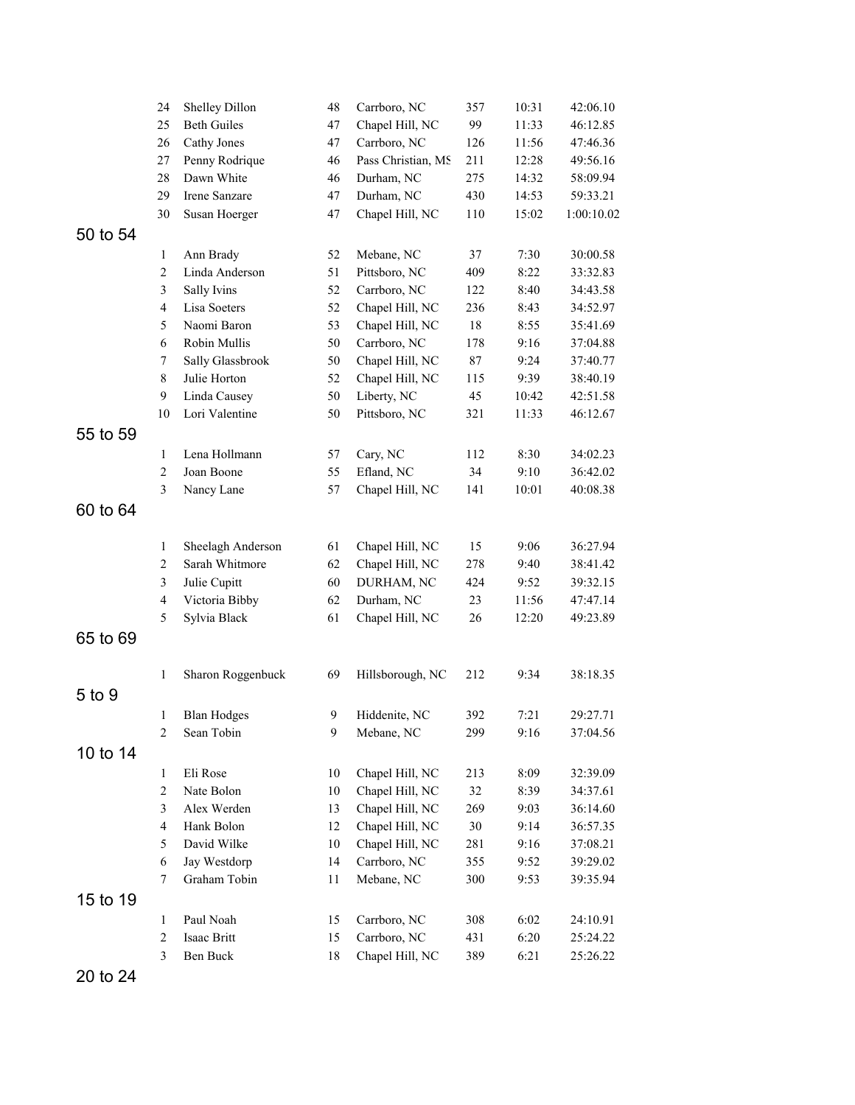|          | 24                      | Shelley Dillon     | 48     | Carrboro, NC       | 357    | 10:31 | 42:06.10   |
|----------|-------------------------|--------------------|--------|--------------------|--------|-------|------------|
|          | 25                      | <b>Beth Guiles</b> | 47     | Chapel Hill, NC    | 99     | 11:33 | 46:12.85   |
|          | 26                      | Cathy Jones        | 47     | Carrboro, NC       | 126    | 11:56 | 47:46.36   |
|          | $27\,$                  | Penny Rodrique     | 46     | Pass Christian, MS | 211    | 12:28 | 49:56.16   |
|          | 28                      | Dawn White         | 46     | Durham, NC         | 275    | 14:32 | 58:09.94   |
|          | 29                      | Irene Sanzare      | 47     | Durham, NC         | 430    | 14:53 | 59:33.21   |
|          | 30                      | Susan Hoerger      | 47     | Chapel Hill, NC    | 110    | 15:02 | 1:00:10.02 |
| 50 to 54 |                         |                    |        |                    |        |       |            |
|          | $\mathbf{1}$            | Ann Brady          | 52     | Mebane, NC         | 37     | 7:30  | 30:00.58   |
|          | $\sqrt{2}$              | Linda Anderson     | 51     | Pittsboro, NC      | 409    | 8:22  | 33:32.83   |
|          | $\mathfrak{Z}$          | Sally Ivins        | 52     | Carrboro, NC       | 122    | 8:40  | 34:43.58   |
|          | $\overline{4}$          | Lisa Soeters       | 52     | Chapel Hill, NC    | 236    | 8:43  | 34:52.97   |
|          | 5                       | Naomi Baron        | 53     | Chapel Hill, NC    | 18     | 8:55  | 35:41.69   |
|          | 6                       | Robin Mullis       | 50     | Carrboro, NC       | 178    | 9:16  | 37:04.88   |
|          | $\tau$                  | Sally Glassbrook   | 50     | Chapel Hill, NC    | 87     | 9:24  | 37:40.77   |
|          | $\,$ 8 $\,$             | Julie Horton       | 52     | Chapel Hill, NC    | 115    | 9:39  | 38:40.19   |
|          | 9                       | Linda Causey       | 50     | Liberty, NC        | 45     | 10:42 | 42:51.58   |
|          | 10                      | Lori Valentine     | 50     | Pittsboro, NC      | 321    | 11:33 | 46:12.67   |
| 55 to 59 |                         |                    |        |                    |        |       |            |
|          | $\mathbf{1}$            | Lena Hollmann      | 57     | Cary, NC           | 112    | 8:30  | 34:02.23   |
|          | $\sqrt{2}$              | Joan Boone         | 55     | Efland, NC         | 34     | 9:10  | 36:42.02   |
|          | 3                       | Nancy Lane         | 57     | Chapel Hill, NC    | 141    | 10:01 | 40:08.38   |
| 60 to 64 |                         |                    |        |                    |        |       |            |
|          |                         |                    |        |                    |        |       |            |
|          | $\mathbf{1}$            | Sheelagh Anderson  | 61     | Chapel Hill, NC    | 15     | 9:06  | 36:27.94   |
|          | $\mathfrak{2}$          | Sarah Whitmore     | 62     | Chapel Hill, NC    | 278    | 9:40  | 38:41.42   |
|          | $\mathfrak{Z}$          | Julie Cupitt       | 60     | DURHAM, NC         | 424    | 9:52  | 39:32.15   |
|          | $\overline{\mathbf{4}}$ | Victoria Bibby     | 62     | Durham, NC         | 23     | 11:56 | 47:47.14   |
|          | 5                       | Sylvia Black       | 61     | Chapel Hill, NC    | 26     | 12:20 | 49:23.89   |
| 65 to 69 |                         |                    |        |                    |        |       |            |
|          |                         |                    |        |                    |        |       |            |
|          | $\,1$                   | Sharon Roggenbuck  | 69     | Hillsborough, NC   | 212    | 9:34  | 38:18.35   |
| 5 to 9   |                         |                    |        |                    |        |       |            |
|          | $\mathbf{1}$            | <b>Blan Hodges</b> | 9      | Hiddenite, NC      | 392    | 7:21  | 29:27.71   |
|          | $\overline{2}$          | Sean Tobin         | 9      | Mebane, NC         | 299    | 9:16  | 37:04.56   |
| 10 to 14 |                         |                    |        |                    |        |       |            |
|          | $\mathbf{1}$            | Eli Rose           | 10     | Chapel Hill, NC    | 213    | 8:09  | 32:39.09   |
|          | $\sqrt{2}$              | Nate Bolon         | $10\,$ | Chapel Hill, NC    | 32     | 8:39  | 34:37.61   |
|          | $\mathfrak{Z}$          | Alex Werden        | 13     | Chapel Hill, NC    | 269    | 9:03  | 36:14.60   |
|          | $\overline{4}$          | Hank Bolon         | 12     | Chapel Hill, NC    | $30\,$ | 9:14  | 36:57.35   |
|          | $\sqrt{5}$              | David Wilke        | 10     | Chapel Hill, NC    | 281    | 9:16  | 37:08.21   |
|          | 6                       | Jay Westdorp       | 14     | Carrboro, NC       | 355    | 9:52  | 39:29.02   |
|          | 7                       | Graham Tobin       | 11     | Mebane, NC         | 300    | 9:53  | 39:35.94   |
| 15 to 19 |                         |                    |        |                    |        |       |            |
|          | $\mathbf{1}$            | Paul Noah          | 15     | Carrboro, NC       | 308    | 6:02  | 24:10.91   |
|          | $\sqrt{2}$              | Isaac Britt        | 15     | Carrboro, NC       | 431    | 6:20  | 25:24.22   |
|          | $\mathfrak{Z}$          | Ben Buck           | 18     | Chapel Hill, NC    | 389    | 6:21  | 25:26.22   |
|          |                         |                    |        |                    |        |       |            |

20 to 24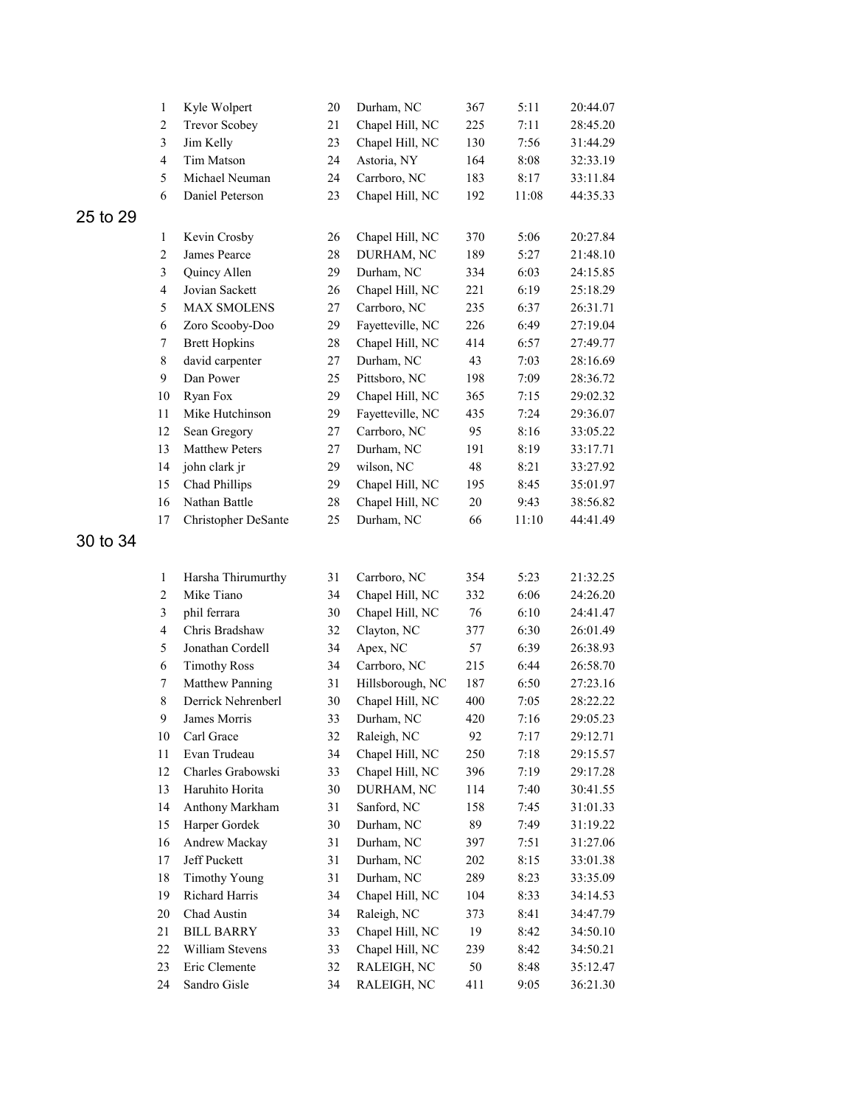|          | $\mathbf{1}$     | Kyle Wolpert                         | 20       | Durham, NC                | 367       | 5:11         | 20:44.07             |
|----------|------------------|--------------------------------------|----------|---------------------------|-----------|--------------|----------------------|
|          | $\boldsymbol{2}$ | <b>Trevor Scobey</b>                 | 21       | Chapel Hill, NC           | 225       | 7:11         | 28:45.20             |
|          | $\mathfrak{Z}$   | Jim Kelly                            | 23       | Chapel Hill, NC           | 130       | 7:56         | 31:44.29             |
|          | $\overline{4}$   | Tim Matson                           | 24       | Astoria, NY               | 164       | 8:08         | 32:33.19             |
|          | 5                | Michael Neuman                       | 24       | Carrboro, NC              | 183       | 8:17         | 33:11.84             |
|          | 6                | Daniel Peterson                      | 23       | Chapel Hill, NC           | 192       | 11:08        | 44:35.33             |
| 25 to 29 |                  |                                      |          |                           |           |              |                      |
|          | $\mathbf{1}$     | Kevin Crosby                         | 26       | Chapel Hill, NC           | 370       | 5:06         | 20:27.84             |
|          | $\boldsymbol{2}$ | James Pearce                         | 28       | DURHAM, NC                | 189       | 5:27         | 21:48.10             |
|          | $\mathfrak{Z}$   | Quincy Allen                         | 29       | Durham, NC                | 334       | 6:03         | 24:15.85             |
|          | $\overline{4}$   | Jovian Sackett                       | 26       | Chapel Hill, NC           | 221       | 6:19         | 25:18.29             |
|          | 5                | <b>MAX SMOLENS</b>                   | 27       | Carrboro, NC              | 235       | 6:37         | 26:31.71             |
|          | $\epsilon$       | Zoro Scooby-Doo                      | 29       | Fayetteville, NC          | 226       | 6:49         | 27:19.04             |
|          | 7                | <b>Brett Hopkins</b>                 | 28       | Chapel Hill, NC           | 414       | 6:57         | 27:49.77             |
|          | $\,$ $\,$        | david carpenter                      | 27       | Durham, NC                | 43        | 7:03         | 28:16.69             |
|          | 9                | Dan Power                            | 25       | Pittsboro, NC             | 198       | 7:09         | 28:36.72             |
|          | 10               | Ryan Fox                             | 29       | Chapel Hill, NC           | 365       | 7:15         | 29:02.32             |
|          | 11               | Mike Hutchinson                      | 29       | Fayetteville, NC          | 435       | 7:24         | 29:36.07             |
|          | 12               | Sean Gregory                         | 27       | Carrboro, NC              | 95        | 8:16         | 33:05.22             |
|          | 13               | Matthew Peters                       | 27       | Durham, NC                | 191       | 8:19         | 33:17.71             |
|          | 14               | john clark jr                        | 29       | wilson, NC                | 48        | 8:21         | 33:27.92             |
|          | 15               | Chad Phillips                        | 29       | Chapel Hill, NC           | 195       | 8:45         | 35:01.97             |
|          | 16               | Nathan Battle                        | 28       | Chapel Hill, NC           | $20\,$    | 9:43         | 38:56.82             |
|          | 17               | Christopher DeSante                  | 25       | Durham, NC                | 66        | 11:10        | 44:41.49             |
|          |                  |                                      |          |                           |           |              |                      |
| 30 to 34 |                  |                                      |          |                           |           |              |                      |
|          | $\mathbf{1}$     | Harsha Thirumurthy                   | 31       | Carrboro, NC              | 354       | 5:23         | 21:32.25             |
|          | $\boldsymbol{2}$ | Mike Tiano                           | 34       | Chapel Hill, NC           |           |              | 24:26.20             |
|          | $\mathfrak{Z}$   | phil ferrara                         | 30       | Chapel Hill, NC           | 332<br>76 | 6:06<br>6:10 | 24:41.47             |
|          | $\overline{4}$   | Chris Bradshaw                       |          | Clayton, NC               | 377       | 6:30         | 26:01.49             |
|          | $\sqrt{5}$       | Jonathan Cordell                     | 32<br>34 | Apex, NC                  | 57        | 6:39         | 26:38.93             |
|          | $\epsilon$       | <b>Timothy Ross</b>                  | 34       | Carrboro, NC              | 215       | 6:44         | 26:58.70             |
|          | $\boldsymbol{7}$ | Matthew Panning                      | 31       | Hillsborough, NC          | 187       | 6:50         | 27:23.16             |
|          | 8                | Derrick Nehrenberl                   | 30       | Chapel Hill, NC           | 400       | 7:05         | 28:22.22             |
|          | 9                |                                      | 33       |                           | 420       |              | 29:05.23             |
|          |                  | James Morris<br>Carl Grace           | 32       | Durham, NC<br>Raleigh, NC | 92        | 7:16<br>7:17 |                      |
|          | 10<br>11         | Evan Trudeau                         | 34       | Chapel Hill, NC           | 250       | 7:18         | 29:12.71<br>29:15.57 |
|          | 12               | Charles Grabowski                    | 33       | Chapel Hill, NC           | 396       | 7:19         |                      |
|          | 13               | Haruhito Horita                      | 30       | DURHAM, NC                | 114       | 7:40         | 29:17.28             |
|          | 14               | Anthony Markham                      | 31       | Sanford, NC               | 158       | 7:45         | 30:41.55<br>31:01.33 |
|          |                  | Harper Gordek                        |          | Durham, NC                | 89        |              |                      |
|          | 15               |                                      | 30       |                           |           | 7:49         | 31:19.22             |
|          | 16               | Andrew Mackay                        | 31       | Durham, NC                | 397       | 7:51         | 31:27.06             |
|          | 17               | Jeff Puckett                         | 31       | Durham, NC                | 202       | 8:15         | 33:01.38             |
|          | 18               | <b>Timothy Young</b>                 | 31       | Durham, NC                | 289       | 8:23         | 33:35.09             |
|          | 19               | Richard Harris                       | 34       | Chapel Hill, NC           | 104       | 8:33         | 34:14.53             |
|          | 20               | Chad Austin                          | 34       | Raleigh, NC               | 373       | 8:41         | 34:47.79             |
|          | 21<br>22         | <b>BILL BARRY</b><br>William Stevens | 33<br>33 | Chapel Hill, NC           | 19        | 8:42         | 34:50.10             |
|          | 23               | Eric Clemente                        | 32       | Chapel Hill, NC           | 239       | 8:42         | 34:50.21             |
|          | 24               | Sandro Gisle                         |          | RALEIGH, NC               | $50\,$    | 8:48         | 35:12.47             |
|          |                  |                                      | 34       | RALEIGH, NC               | 411       | 9:05         | 36:21.30             |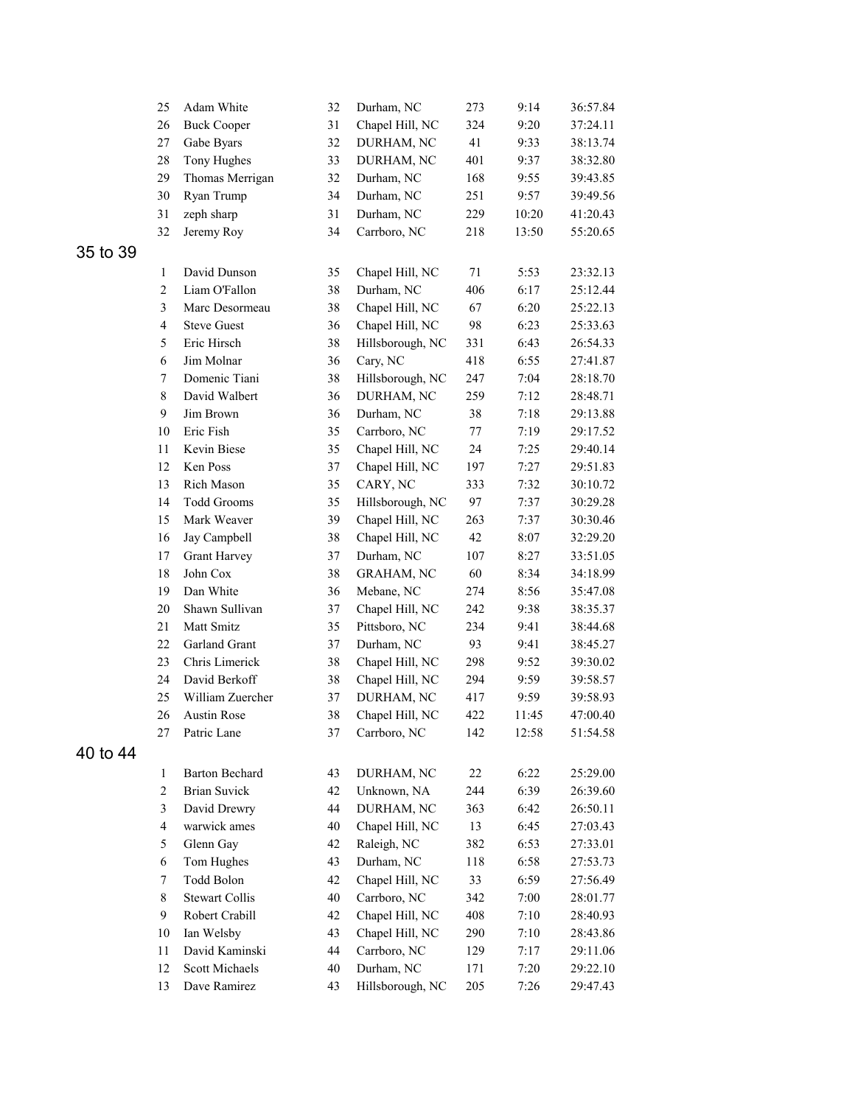|          | 25             | Adam White            | 32     | Durham, NC        | 273    | 9:14  | 36:57.84 |
|----------|----------------|-----------------------|--------|-------------------|--------|-------|----------|
|          | 26             | <b>Buck Cooper</b>    | 31     | Chapel Hill, NC   | 324    | 9:20  | 37:24.11 |
|          | $27\,$         | Gabe Byars            | 32     | DURHAM, NC        | 41     | 9:33  | 38:13.74 |
|          | $28\,$         | Tony Hughes           | 33     | DURHAM, NC        | 401    | 9:37  | 38:32.80 |
|          | 29             | Thomas Merrigan       | 32     | Durham, NC        | 168    | 9:55  | 39:43.85 |
|          | 30             | Ryan Trump            | 34     | Durham, NC        | 251    | 9:57  | 39:49.56 |
|          | 31             | zeph sharp            | 31     | Durham, NC        | 229    | 10:20 | 41:20.43 |
|          | 32             | Jeremy Roy            | 34     | Carrboro, NC      | 218    | 13:50 | 55:20.65 |
| 35 to 39 |                |                       |        |                   |        |       |          |
|          | $\mathbf{1}$   | David Dunson          | 35     | Chapel Hill, NC   | 71     | 5:53  | 23:32.13 |
|          | $\overline{c}$ | Liam O'Fallon         | 38     | Durham, NC        | 406    | 6:17  | 25:12.44 |
|          | 3              | Marc Desormeau        | 38     | Chapel Hill, NC   | 67     | 6:20  | 25:22.13 |
|          | $\overline{4}$ | <b>Steve Guest</b>    | 36     | Chapel Hill, NC   | 98     | 6:23  | 25:33.63 |
|          | 5              | Eric Hirsch           | 38     | Hillsborough, NC  | 331    | 6:43  | 26:54.33 |
|          | 6              | Jim Molnar            | 36     | Cary, NC          | 418    | 6:55  | 27:41.87 |
|          | 7              | Domenic Tiani         | 38     | Hillsborough, NC  | 247    | 7:04  | 28:18.70 |
|          | $\,$ 8 $\,$    | David Walbert         | 36     | DURHAM, NC        | 259    | 7:12  | 28:48.71 |
|          | 9              | Jim Brown             | 36     | Durham, NC        | 38     | 7:18  | 29:13.88 |
|          | 10             | Eric Fish             | 35     | Carrboro, NC      | $77\,$ | 7:19  | 29:17.52 |
|          | 11             | Kevin Biese           | 35     | Chapel Hill, NC   | 24     | 7:25  | 29:40.14 |
|          | 12             | Ken Poss              | 37     | Chapel Hill, NC   | 197    | 7:27  | 29:51.83 |
|          | 13             | Rich Mason            | 35     | CARY, NC          | 333    | 7:32  | 30:10.72 |
|          | 14             | <b>Todd Grooms</b>    | 35     | Hillsborough, NC  | 97     | 7:37  | 30:29.28 |
|          | 15             | Mark Weaver           | 39     | Chapel Hill, NC   | 263    | 7:37  | 30:30.46 |
|          | 16             | Jay Campbell          | 38     | Chapel Hill, NC   | 42     | 8:07  | 32:29.20 |
|          | 17             | <b>Grant Harvey</b>   | 37     | Durham, NC        | 107    | 8:27  | 33:51.05 |
|          | 18             | John Cox              | 38     | <b>GRAHAM, NC</b> | 60     | 8:34  | 34:18.99 |
|          | 19             | Dan White             | 36     | Mebane, NC        | 274    | 8:56  | 35:47.08 |
|          | 20             | Shawn Sullivan        | 37     | Chapel Hill, NC   | 242    | 9:38  | 38:35.37 |
|          | 21             | Matt Smitz            | 35     | Pittsboro, NC     | 234    | 9:41  | 38:44.68 |
|          | 22             | Garland Grant         | 37     | Durham, NC        | 93     | 9:41  | 38:45.27 |
|          | 23             | Chris Limerick        | 38     | Chapel Hill, NC   | 298    | 9:52  | 39:30.02 |
|          | 24             | David Berkoff         | 38     | Chapel Hill, NC   | 294    | 9:59  | 39:58.57 |
|          | 25             | William Zuercher      | 37     | DURHAM, NC        | 417    | 9:59  | 39:58.93 |
|          | 26             | <b>Austin Rose</b>    | 38     | Chapel Hill, NC   | 422    | 11:45 | 47:00.40 |
|          | 27             | Patric Lane           | 37     | Carrboro, NC      | 142    | 12:58 | 51:54.58 |
| 40 to 44 |                |                       |        |                   |        |       |          |
|          | 1              | <b>Barton Bechard</b> | 43     | DURHAM, NC        | 22     | 6:22  | 25:29.00 |
|          | $\overline{2}$ | <b>Brian Suvick</b>   | 42     | Unknown, NA       | 244    | 6:39  | 26:39.60 |
|          | $\mathfrak{Z}$ | David Drewry          | 44     | DURHAM, NC        | 363    | 6:42  | 26:50.11 |
|          | $\overline{4}$ | warwick ames          | $40\,$ | Chapel Hill, NC   | 13     | 6:45  | 27:03.43 |
|          | 5              | Glenn Gay             | 42     | Raleigh, NC       | 382    | 6:53  | 27:33.01 |
|          | 6              | Tom Hughes            | 43     | Durham, NC        | 118    | 6:58  | 27:53.73 |
|          | $\tau$         | Todd Bolon            | 42     | Chapel Hill, NC   | 33     | 6:59  | 27:56.49 |
|          | 8              | <b>Stewart Collis</b> | 40     | Carrboro, NC      | 342    | 7:00  | 28:01.77 |
|          | 9              | Robert Crabill        | 42     | Chapel Hill, NC   | 408    | 7:10  | 28:40.93 |
|          | 10             | Ian Welsby            | 43     | Chapel Hill, NC   | 290    | 7:10  | 28:43.86 |
|          | 11             | David Kaminski        | 44     | Carrboro, NC      | 129    | 7:17  | 29:11.06 |
|          | 12             | Scott Michaels        | $40\,$ | Durham, NC        | 171    | 7:20  | 29:22.10 |
|          | 13             | Dave Ramirez          | 43     | Hillsborough, NC  | 205    | 7:26  | 29:47.43 |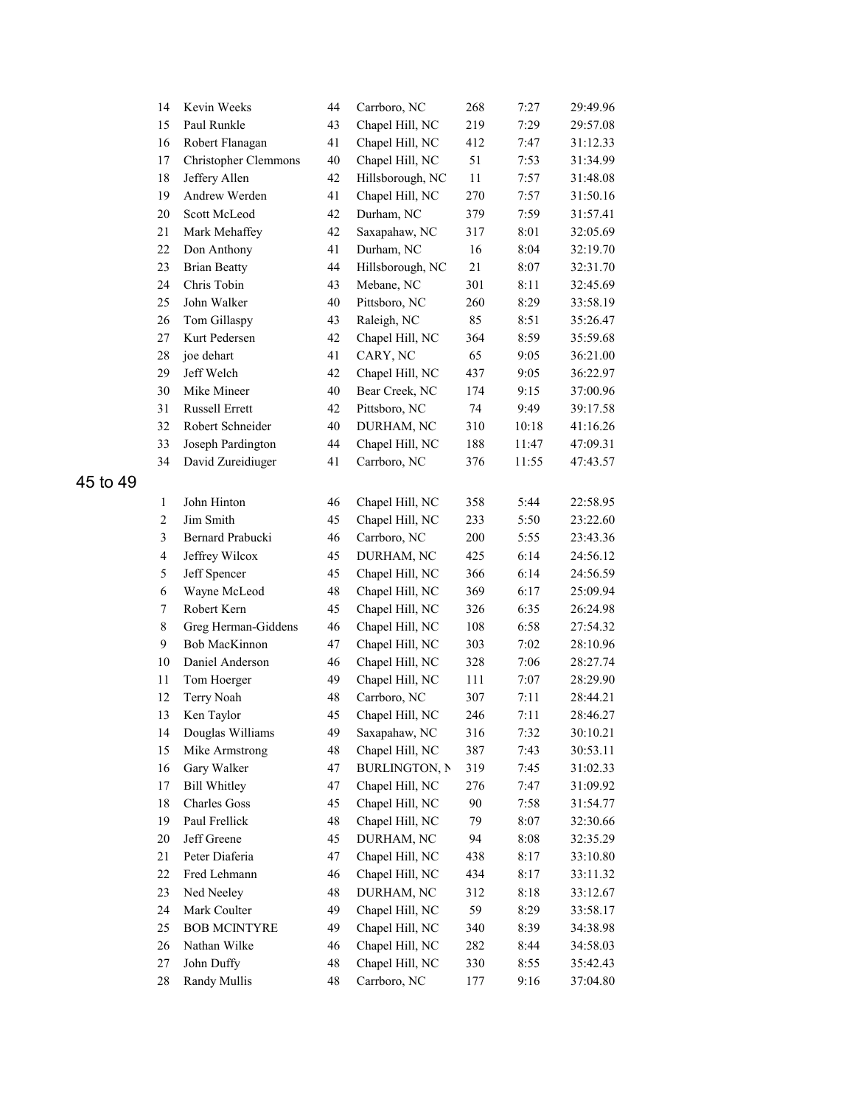|          | 14                      | Kevin Weeks                 | 44       | Carrboro, NC         | 268 | 7:27  | 29:49.96 |
|----------|-------------------------|-----------------------------|----------|----------------------|-----|-------|----------|
|          | 15                      | Paul Runkle                 | 43       | Chapel Hill, NC      | 219 | 7:29  | 29:57.08 |
|          | 16                      | Robert Flanagan             | 41       | Chapel Hill, NC      | 412 | 7:47  | 31:12.33 |
|          | 17                      | <b>Christopher Clemmons</b> | $40\,$   | Chapel Hill, NC      | 51  | 7:53  | 31:34.99 |
|          | 18                      | Jeffery Allen               | 42       | Hillsborough, NC     | 11  | 7:57  | 31:48.08 |
|          | 19                      | Andrew Werden               | 41       | Chapel Hill, NC      | 270 | 7:57  | 31:50.16 |
|          | $20\,$                  | Scott McLeod                | 42       | Durham, NC           | 379 | 7:59  | 31:57.41 |
|          | 21                      | Mark Mehaffey               | 42       | Saxapahaw, NC        | 317 | 8:01  | 32:05.69 |
|          | 22                      | Don Anthony                 | 41       | Durham, NC           | 16  | 8:04  | 32:19.70 |
|          | 23                      | <b>Brian Beatty</b>         | 44       | Hillsborough, NC     | 21  | 8:07  | 32:31.70 |
|          | 24                      | Chris Tobin                 | 43       | Mebane, NC           | 301 | 8:11  | 32:45.69 |
|          | 25                      | John Walker                 | $40\,$   | Pittsboro, NC        | 260 | 8:29  | 33:58.19 |
|          | 26                      | Tom Gillaspy                | 43       | Raleigh, NC          | 85  | 8:51  | 35:26.47 |
|          | $27\,$                  | Kurt Pedersen               | 42       | Chapel Hill, NC      | 364 | 8:59  | 35:59.68 |
|          | $28\,$                  | joe dehart                  | 41       | CARY, NC             | 65  | 9:05  | 36:21.00 |
|          | 29                      | Jeff Welch                  | 42       | Chapel Hill, NC      | 437 | 9:05  | 36:22.97 |
|          | 30                      | Mike Mineer                 | $40\,$   | Bear Creek, NC       | 174 | 9:15  | 37:00.96 |
|          | 31                      | Russell Errett              | 42       | Pittsboro, NC        | 74  | 9:49  | 39:17.58 |
|          | 32                      | Robert Schneider            | $40\,$   | DURHAM, NC           | 310 | 10:18 | 41:16.26 |
|          | 33                      | Joseph Pardington           | 44       | Chapel Hill, NC      | 188 | 11:47 | 47:09.31 |
|          | 34                      | David Zureidiuger           | 41       | Carrboro, NC         | 376 | 11:55 | 47:43.57 |
| 45 to 49 |                         |                             |          |                      |     |       |          |
|          |                         | John Hinton                 |          |                      |     |       |          |
|          | $\mathbf{1}$            | Jim Smith                   | 46<br>45 | Chapel Hill, NC      | 358 | 5:44  | 22:58.95 |
|          | $\mathbf{2}$            |                             |          | Chapel Hill, NC      | 233 | 5:50  | 23:22.60 |
|          | 3                       | Bernard Prabucki            | 46       | Carrboro, NC         | 200 | 5:55  | 23:43.36 |
|          | $\overline{\mathbf{4}}$ | Jeffrey Wilcox              | 45       | DURHAM, NC           | 425 | 6:14  | 24:56.12 |
|          | 5                       | Jeff Spencer                | 45       | Chapel Hill, NC      | 366 | 6:14  | 24:56.59 |
|          | 6                       | Wayne McLeod                | 48       | Chapel Hill, NC      | 369 | 6:17  | 25:09.94 |
|          | 7                       | Robert Kern                 | 45       | Chapel Hill, NC      | 326 | 6:35  | 26:24.98 |
|          | $\,8\,$                 | Greg Herman-Giddens         | 46       | Chapel Hill, NC      | 108 | 6:58  | 27:54.32 |
|          | 9                       | Bob MacKinnon               | 47       | Chapel Hill, NC      | 303 | 7:02  | 28:10.96 |
|          | $10\,$                  | Daniel Anderson             | 46       | Chapel Hill, NC      | 328 | 7:06  | 28:27.74 |
|          | 11                      | Tom Hoerger                 | 49       | Chapel Hill, NC      | 111 | 7:07  | 28:29.90 |
|          | 12                      | Terry Noah                  | 48       | Carrboro, NC         | 307 | 7:11  | 28:44.21 |
|          | 13                      | Ken Taylor                  | 45       | Chapel Hill, NC      | 246 | 7:11  | 28:46.27 |
|          | 14                      | Douglas Williams            | 49       | Saxapahaw, NC        | 316 | 7:32  | 30:10.21 |
|          | 15                      | Mike Armstrong              | 48       | Chapel Hill, NC      | 387 | 7:43  | 30:53.11 |
|          | 16                      | Gary Walker                 | 47       | <b>BURLINGTON, N</b> | 319 | 7:45  | 31:02.33 |
|          | 17                      | <b>Bill Whitley</b>         | 47       | Chapel Hill, NC      | 276 | 7:47  | 31:09.92 |
|          | 18                      | <b>Charles Goss</b>         | 45       | Chapel Hill, NC      | 90  | 7:58  | 31:54.77 |
|          | 19                      | Paul Frellick               | 48       | Chapel Hill, NC      | 79  | 8:07  | 32:30.66 |
|          | 20                      | Jeff Greene                 | 45       | DURHAM, NC           | 94  | 8:08  | 32:35.29 |
|          | 21                      | Peter Diaferia              | 47       | Chapel Hill, NC      | 438 | 8:17  | 33:10.80 |
|          | 22                      | Fred Lehmann                | 46       | Chapel Hill, NC      | 434 | 8:17  | 33:11.32 |
|          | 23                      | Ned Neeley                  | 48       | DURHAM, NC           | 312 | 8:18  | 33:12.67 |
|          | 24                      | Mark Coulter                | 49       | Chapel Hill, NC      | 59  | 8:29  | 33:58.17 |
|          | 25                      | <b>BOB MCINTYRE</b>         | 49       | Chapel Hill, NC      | 340 | 8:39  | 34:38.98 |
|          | 26                      | Nathan Wilke                | 46       | Chapel Hill, NC      | 282 | 8:44  | 34:58.03 |
|          | $27\,$                  | John Duffy                  | 48       | Chapel Hill, NC      | 330 | 8:55  | 35:42.43 |
|          | 28                      | Randy Mullis                | 48       | Carrboro, NC         | 177 | 9:16  | 37:04.80 |